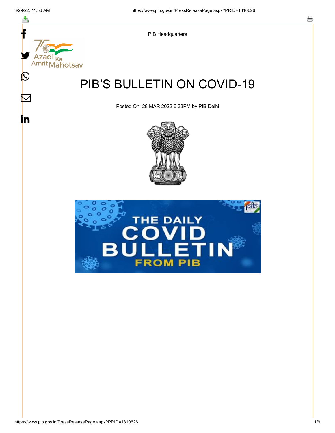스

 $\mathrel{\smash{\triangleright}}$ 

<u>in</u>



PIB Headquarters

# PIB'S BULLETIN ON COVID-19

Posted On: 28 MAR 2022 6:33PM by PIB Delhi



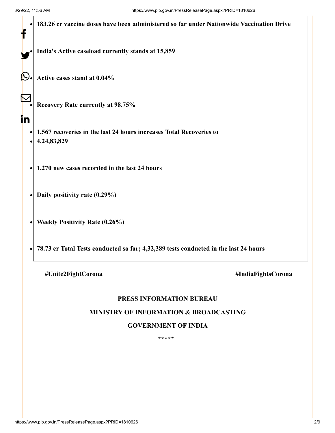|    | 183.26 cr vaccine doses have been administered so far under Nationwide Vaccination Drive |
|----|------------------------------------------------------------------------------------------|
|    | India's Active caseload currently stands at 15,859                                       |
| L  | Active cases stand at 0.04%                                                              |
|    | <b>Recovery Rate currently at 98.75%</b>                                                 |
| in | 1,567 recoveries in the last 24 hours increases Total Recoveries to<br>4,24,83,829       |
|    | 1,270 new cases recorded in the last 24 hours                                            |
|    | Daily positivity rate (0.29%)                                                            |
|    | <b>Weekly Positivity Rate (0.26%)</b>                                                    |
|    | 78.73 cr Total Tests conducted so far; 4,32,389 tests conducted in the last 24 hours     |
|    |                                                                                          |

**#Unite2FightCorona #IndiaFightsCorona**

## **PRESS INFORMATION BUREAU**

#### **MINISTRY OF INFORMATION & BROADCASTING**

#### **GOVERNMENT OF INDIA**

**\*\*\*\*\***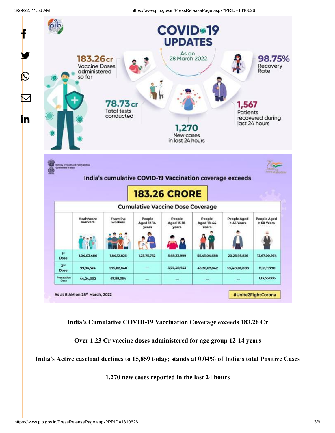3/29/22, 11:56 AM https://www.pib.gov.in/PressReleasePage.aspx?PRID=1810626



**India's Cumulative COVID-19 Vaccination Coverage exceeds 183.26 Cr**

**Over 1.23 Cr vaccine doses administered for age group 12-14 years**

**India's Active caseload declines to 15,859 today; stands at 0.04% of India's total Positive Cases**

**1,270 new cases reported in the last 24 hours**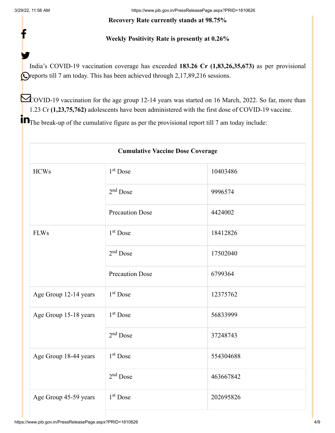f

y.

3/29/22, 11:56 AM https://www.pib.gov.in/PressReleasePage.aspx?PRID=1810626

#### **Recovery Rate currently stands at 98.75%**

## **Weekly Positivity Rate is presently at 0.26%**

India's COVID-19 vaccination coverage has exceeded **183.26 Cr (1,83,26,35,673)** as per provisional **O**reports till 7 am today. This has been achieved through 2,17,89,216 sessions.

COVID-19 vaccination for the age group 12-14 years was started on 16 March, 2022. So far, more than 1.23 Cr **(1,23,75,762)** adolescents have been administered with the first dose of COVID-19 vaccine.

**T** The break-up of the cumulative figure as per the provisional report till 7 am today include:

| <b>Cumulative Vaccine Dose Coverage</b> |                        |           |  |  |
|-----------------------------------------|------------------------|-----------|--|--|
| <b>HCWs</b>                             | $1st$ Dose             | 10403486  |  |  |
|                                         | $2nd$ Dose             | 9996574   |  |  |
|                                         | <b>Precaution Dose</b> | 4424002   |  |  |
| <b>FLWs</b>                             | 1 <sup>st</sup> Dose   | 18412826  |  |  |
|                                         | $2nd$ Dose             | 17502040  |  |  |
|                                         | <b>Precaution Dose</b> | 6799364   |  |  |
| Age Group 12-14 years                   | 1 <sup>st</sup> Dose   | 12375762  |  |  |
| Age Group 15-18 years                   | 1 <sup>st</sup> Dose   | 56833999  |  |  |
|                                         | $2nd$ Dose             | 37248743  |  |  |
| Age Group 18-44 years                   | 1 <sup>st</sup> Dose   | 554304688 |  |  |
|                                         | $2nd$ Dose             | 463667842 |  |  |
| Age Group 45-59 years                   | $1st$ Dose             | 202695826 |  |  |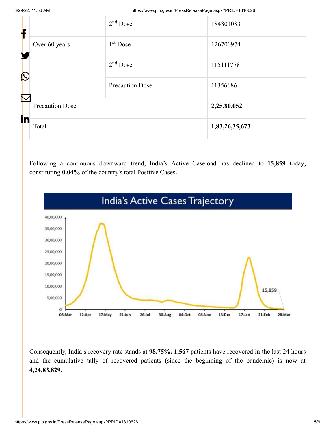3/29/22, 11:56 AM https://www.pib.gov.in/PressReleasePage.aspx?PRID=1810626

| f                     |                        | $2nd$ Dose             | 184801083      |
|-----------------------|------------------------|------------------------|----------------|
|                       | Over 60 years          | $1st$ Dose             | 126700974      |
| $\bigcirc$            |                        | $2nd$ Dose             | 115111778      |
| $\boldsymbol{\nabla}$ |                        | <b>Precaution Dose</b> | 11356686       |
|                       | <b>Precaution Dose</b> |                        | 2,25,80,052    |
| in                    | Total                  |                        | 1,83,26,35,673 |

Following a continuous downward trend, India's Active Caseload has declined to **15,859** today**,** constituting **0.04%** of the country's total Positive Cases**.**



Consequently, India's recovery rate stands at **98.75%. 1,567** patients have recovered in the last 24 hours and the cumulative tally of recovered patients (since the beginning of the pandemic) is now at **4,24,83,829.**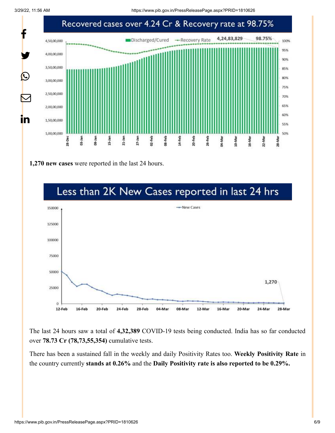3/29/22, 11:56 AM https://www.pib.gov.in/PressReleasePage.aspx?PRID=1810626



**1,270 new cases** were reported in the last 24 hours.



The last 24 hours saw a total of **4,32,389** COVID-19 tests being conducted. India has so far conducted over **78.73 Cr (78,73,55,354)** cumulative tests.

There has been a sustained fall in the weekly and daily Positivity Rates too. **Weekly Positivity Rate** in the country currently **stands at 0.26%** and the **Daily Positivity rate is also reported to be 0.29%.**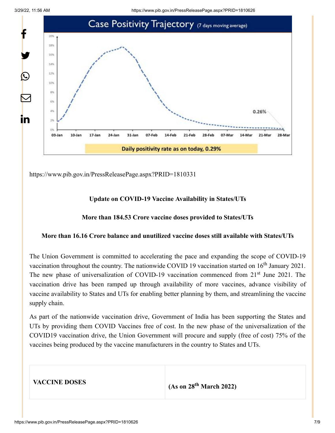

<https://www.pib.gov.in/PressReleasePage.aspx?PRID=1810331>

### **Update on COVID-19 Vaccine Availability in States/UTs**

#### **More than 184.53 Crore vaccine doses provided to States/UTs**

#### **More than 16.16 Crore balance and unutilized vaccine doses still available with States/UTs**

The Union Government is committed to accelerating the pace and expanding the scope of COVID-19 vaccination throughout the country. The nationwide COVID 19 vaccination started on  $16<sup>th</sup>$  January 2021. The new phase of universalization of COVID-19 vaccination commenced from 21<sup>st</sup> June 2021. The vaccination drive has been ramped up through availability of more vaccines, advance visibility of vaccine availability to States and UTs for enabling better planning by them, and streamlining the vaccine supply chain.

As part of the nationwide vaccination drive, Government of India has been supporting the States and UTs by providing them COVID Vaccines free of cost. In the new phase of the universalization of the COVID19 vaccination drive, the Union Government will procure and supply (free of cost) 75% of the vaccines being produced by the vaccine manufacturers in the country to States and UTs.

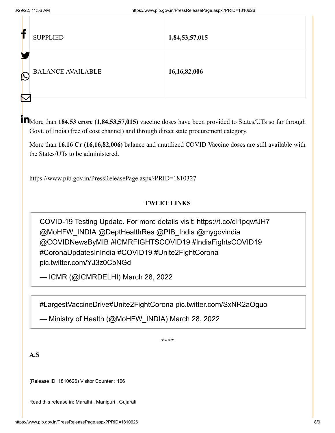| Ŀ                               | <b>SUPPLIED</b>          | 1,84,53,57,015  |
|---------------------------------|--------------------------|-----------------|
| $\bigcirc$<br>$\color{red}\sum$ | <b>BALANCE AVAILABLE</b> | 16, 16, 82, 006 |

More than **184.53 crore (1,84,53,57,015)** vaccine doses have been provided to States/UTs so far through Govt. of India (free of cost channel) and through direct state procurement category.

More than **16.16 Cr (16,16,82,006)** balance and unutilized COVID Vaccine doses are still available with the States/UTs to be administered.

<https://www.pib.gov.in/PressReleasePage.aspx?PRID=1810327>

## **TWEET LINKS**

COVID-19 Testing Update. For more details visit: <https://t.co/dI1pqwfJH7> [@MoHFW\\_INDIA](https://twitter.com/MoHFW_INDIA?ref_src=twsrc%5Etfw) [@DeptHealthRes](https://twitter.com/DeptHealthRes?ref_src=twsrc%5Etfw) [@PIB\\_India](https://twitter.com/PIB_India?ref_src=twsrc%5Etfw) [@mygovindia](https://twitter.com/mygovindia?ref_src=twsrc%5Etfw) [@COVIDNewsByMIB](https://twitter.com/COVIDNewsByMIB?ref_src=twsrc%5Etfw) [#ICMRFIGHTSCOVID19](https://twitter.com/hashtag/ICMRFIGHTSCOVID19?src=hash&ref_src=twsrc%5Etfw) [#IndiaFightsCOVID19](https://twitter.com/hashtag/IndiaFightsCOVID19?src=hash&ref_src=twsrc%5Etfw) [#CoronaUpdatesInIndia](https://twitter.com/hashtag/CoronaUpdatesInIndia?src=hash&ref_src=twsrc%5Etfw) [#COVID19](https://twitter.com/hashtag/COVID19?src=hash&ref_src=twsrc%5Etfw) [#Unite2FightCorona](https://twitter.com/hashtag/Unite2FightCorona?src=hash&ref_src=twsrc%5Etfw) [pic.twitter.com/YJ3z0CbNGd](https://t.co/YJ3z0CbNGd)

— ICMR (@ICMRDELHI) [March 28, 2022](https://twitter.com/ICMRDELHI/status/1508285745077035009?ref_src=twsrc%5Etfw)

[#LargestVaccineDrive](https://twitter.com/hashtag/LargestVaccineDrive?src=hash&ref_src=twsrc%5Etfw)[#Unite2FightCorona](https://twitter.com/hashtag/Unite2FightCorona?src=hash&ref_src=twsrc%5Etfw) [pic.twitter.com/SxNR2aOguo](https://t.co/SxNR2aOguo)

— Ministry of Health (@MoHFW\_INDIA) [March 28, 2022](https://twitter.com/MoHFW_INDIA/status/1508378245649121280?ref_src=twsrc%5Etfw)

**\*\*\*\***

**A.S**

(Release ID: 1810626) Visitor Counter : 166

Read this release in: [Marathi ,](https://pib.gov.in/PressReleasePage.aspx?PRID=1810659) [Manipuri ,](https://pib.gov.in/PressReleasePage.aspx?PRID=1810653) [Gujarati](https://pib.gov.in/PressReleasePage.aspx?PRID=1810707)